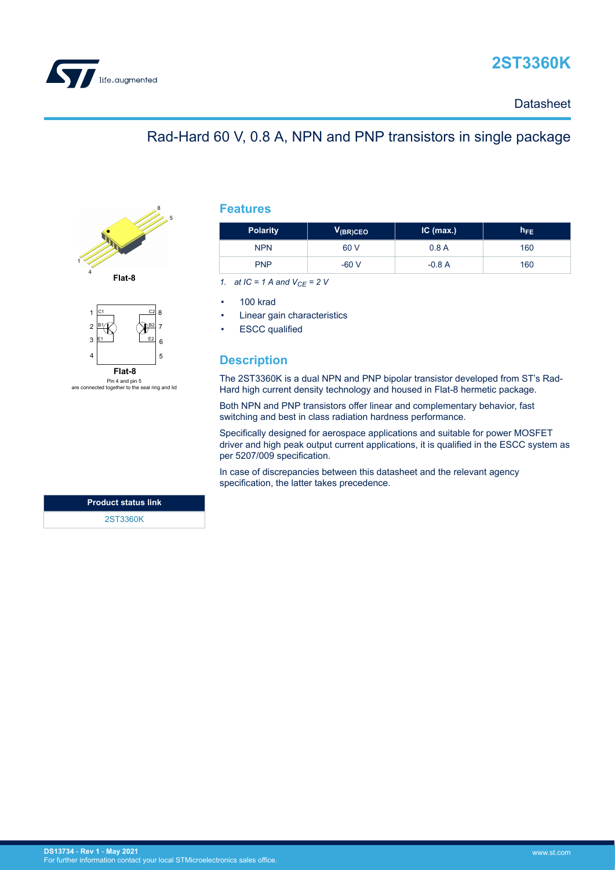



## **Datasheet**

## Rad-Hard 60 V, 0.8 A, NPN and PNP transistors in single package





Pin 4 and pin 5 are connected together to the seal ring and lid

|  | TUr |  |
|--|-----|--|
|  |     |  |

| <b>Polarity</b> | $V_{(BR)CEO}$ | $IC$ (max.) | $h_{FE}$ |
|-----------------|---------------|-------------|----------|
| <b>NPN</b>      | 60 V          | 0.8A        | 160      |
| <b>PNP</b>      | $-60V$        | $-0.8A$     | 160      |

*1. at IC = 1 A and VCE = 2 V*

• 100 krad

Linear gain characteristics

**ESCC** qualified

## **Description**

The 2ST3360K is a dual NPN and PNP bipolar transistor developed from ST's Rad-Hard high current density technology and housed in Flat-8 hermetic package.

Both NPN and PNP transistors offer linear and complementary behavior, fast switching and best in class radiation hardness performance.

Specifically designed for aerospace applications and suitable for power MOSFET driver and high peak output current applications, it is qualified in the ESCC system as per 5207/009 specification.

In case of discrepancies between this datasheet and the relevant agency specification, the latter takes precedence.

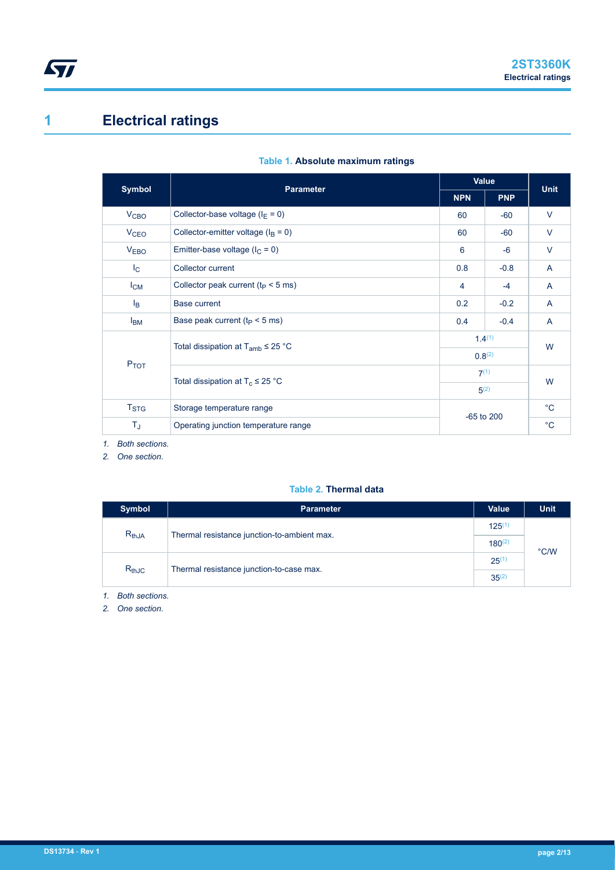# <span id="page-1-0"></span>**1 Electrical ratings**

|                                 | <b>Parameter</b>                                     | Value       |            |             |
|---------------------------------|------------------------------------------------------|-------------|------------|-------------|
| <b>Symbol</b>                   |                                                      | <b>NPN</b>  | <b>PNP</b> | <b>Unit</b> |
| <b>V<sub>CBO</sub></b>          | Collector-base voltage ( $I_E = 0$ )                 | 60          | $-60$      | $\vee$      |
| <b>V<sub>CEO</sub></b>          | Collector-emitter voltage ( $I_B = 0$ )              | 60          | $-60$      | V           |
| <b>VEBO</b>                     | Emitter-base voltage ( $I_C = 0$ )                   | 6           | $-6$       | $\vee$      |
| $I_{\rm C}$                     | Collector current                                    | 0.8         | $-0.8$     | A           |
| $I_{CM}$                        | Collector peak current ( $t_P < 5$ ms)               | 4           | $-4$       | A           |
| $I_{\mathsf{B}}$                | <b>Base current</b>                                  | 0.2         | $-0.2$     | A           |
| $I_{BM}$                        | Base peak current ( $t_P < 5$ ms)                    | 0.4         | $-0.4$     | A           |
|                                 | Total dissipation at $T_{amb} \leq 25$ °C            | $1.4^{(1)}$ |            | W           |
| <b>PTOT</b>                     |                                                      | $0.8^{(2)}$ |            |             |
|                                 | Total dissipation at $T_c \leq 25$ °C                | $7^{(1)}$   |            | W           |
|                                 |                                                      | $5^{(2)}$   |            |             |
| T <sub>STG</sub>                | Storage temperature range                            |             |            | $^{\circ}C$ |
| $T_J$                           | $-65$ to 200<br>Operating junction temperature range |             |            |             |
| $\overline{ }$<br>Dath coofiano |                                                      |             |            |             |

## **Table 1. Absolute maximum ratings**

*1. Both sections.*

*2. One section.*

### **Table 2. Thermal data**

| <b>Symbol</b> | <b>Parameter</b>                            | Value       | <b>Unit</b>   |
|---------------|---------------------------------------------|-------------|---------------|
| $R_{thJA}$    | Thermal resistance junction-to-ambient max. | $125^{(1)}$ |               |
|               |                                             |             | $\degree$ C/W |
| $R_{thJC}$    | Thermal resistance junction-to-case max.    |             |               |

*1. Both sections.*

*2. One section.*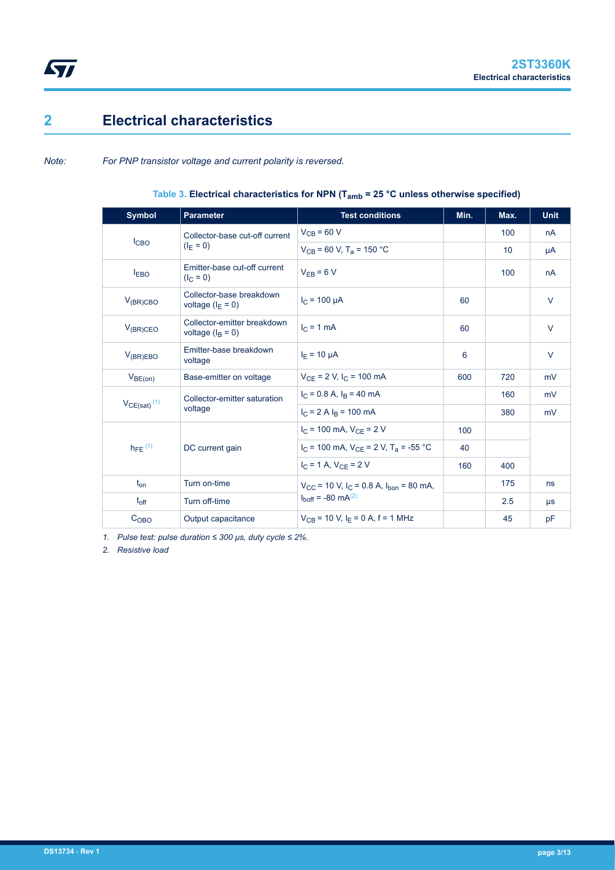# **2 Electrical characteristics**

<span id="page-2-0"></span> $\sqrt{2}$ 

*Note: For PNP transistor voltage and current polarity is reversed.*

|  |  |  |  | Table 3. Electrical characteristics for NPN ( $T_{amb}$ = 25 °C unless otherwise specified) |
|--|--|--|--|---------------------------------------------------------------------------------------------|
|--|--|--|--|---------------------------------------------------------------------------------------------|

| <b>Symbol</b>                | <b>Parameter</b>                                  | <b>Test conditions</b>                                                    | Min. | Max. | <b>Unit</b> |
|------------------------------|---------------------------------------------------|---------------------------------------------------------------------------|------|------|-------------|
|                              | Collector-base cut-off current                    | $V_{CB}$ = 60 V                                                           |      | 100  | nA          |
| I <sub>CBO</sub>             | $(I_F = 0)$                                       | $V_{CB}$ = 60 V, T <sub>a</sub> = 150 °C                                  |      | 10   | μA          |
| $I_{EBO}$                    | Emitter-base cut-off current<br>$(I_C = 0)$       | $V_{FR}$ = 6 V                                                            |      | 100  | nA          |
| $V_{(BR)CBO}$                | Collector-base breakdown<br>voltage $(I_F = 0)$   | $I_C = 100 \text{ uA}$                                                    | 60   |      | $\vee$      |
| $V_{(BR)CEO}$                | Collector-emitter breakdown<br>voltage $(IB = 0)$ | $I_C = 1$ mA                                                              | 60   |      | $\vee$      |
| $V_{(BR)EBO}$                | Emitter-base breakdown<br>voltage                 | $I_F = 10 \mu A$                                                          | 6    |      | $\vee$      |
| $V_{BE(0n)}$                 | Base-emitter on voltage                           | $V_{CF}$ = 2 V, $I_C$ = 100 mA                                            | 600  | 720  | mV          |
|                              | Collector-emitter saturation                      | $I_C = 0.8$ A, $I_B = 40$ mA                                              |      | 160  | mV          |
| $V_{CE(sat)}$ <sup>(1)</sup> | voltage                                           | $I_C = 2 A I_B = 100 mA$                                                  |      | 380  | mV          |
|                              |                                                   | $I_C$ = 100 mA, $V_{CF}$ = 2 V                                            | 100  |      |             |
| $h_{FE}$ <sup>(1)</sup>      | DC current gain                                   | $I_C$ = 100 mA, $V_{CF}$ = 2 V, T <sub>a</sub> = -55 °C                   | 40   |      |             |
|                              |                                                   | $I_C = 1$ A, $V_{CF} = 2$ V                                               | 160  | 400  |             |
| $t_{on}$                     | Turn on-time                                      | $V_{\text{CC}}$ = 10 V, I <sub>C</sub> = 0.8 A, I <sub>bon</sub> = 80 mA, |      | 175  | ns          |
| $t_{off}$                    | Turn off-time                                     | $I_{\text{hoff}} = -80 \text{ mA}^{(2)}$                                  |      | 2.5  | $\mu$ s     |
| $C_{OBO}$                    | Output capacitance                                | $V_{CB}$ = 10 V, I <sub>F</sub> = 0 A, f = 1 MHz                          |      | 45   | pF          |

*1. Pulse test: pulse duration ≤ 300 μs, duty cycle ≤ 2%.*

*2. Resistive load*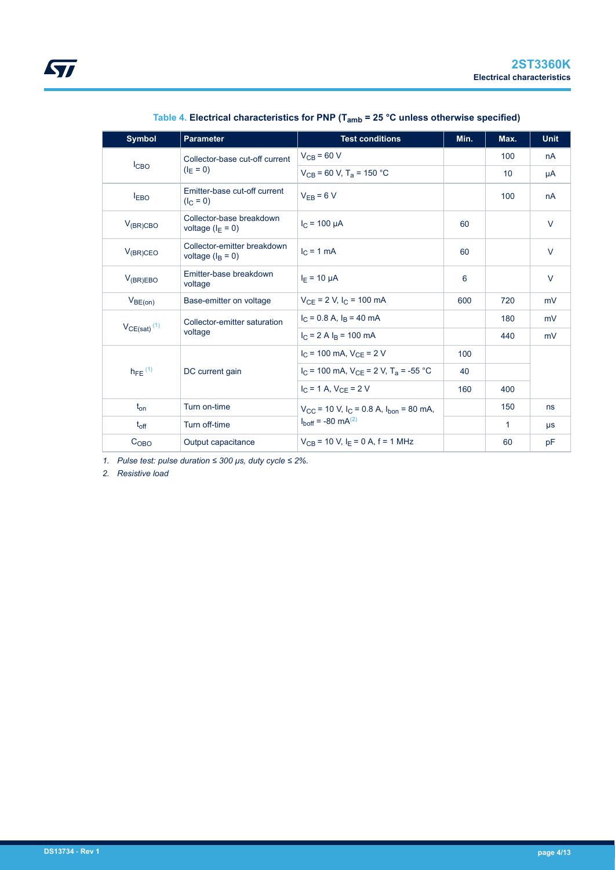| <b>Symbol</b>             | <b>Parameter</b>                                  | <b>Test conditions</b>                                                    | Min. | Max. | <b>Unit</b> |
|---------------------------|---------------------------------------------------|---------------------------------------------------------------------------|------|------|-------------|
|                           | Collector-base cut-off current                    | $V_{CB}$ = 60 V                                                           |      | 100  | nA          |
| l <sub>CBO</sub>          | $(I_F = 0)$                                       | $V_{CB}$ = 60 V, T <sub>a</sub> = 150 °C                                  |      | 10   | μA          |
| $I_{EBO}$                 | Emitter-base cut-off current<br>$(I_C = 0)$       | $V_{EB} = 6 V$                                                            |      | 100  | nA          |
| $V_{(BR)CBO}$             | Collector-base breakdown<br>voltage $(I_F = 0)$   | $I_C = 100 \mu A$                                                         | 60   |      | $\vee$      |
| $V_{(BR)CEO}$             | Collector-emitter breakdown<br>voltage $(IB = 0)$ | $IC = 1 mA$                                                               | 60   |      | $\vee$      |
| $V_{(BR)EBO}$             | Emitter-base breakdown<br>voltage                 | $I_F = 10 \mu A$                                                          | 6    |      | $\vee$      |
| $V_{BE(0n)}$              | Base-emitter on voltage                           | $V_{CE}$ = 2 V, I <sub>C</sub> = 100 mA                                   | 600  | 720  | mV          |
|                           | Collector-emitter saturation                      | $I_C = 0.8$ A, $I_B = 40$ mA                                              |      | 180  | mV          |
| $VCE(sat)$ <sup>(1)</sup> | voltage                                           | $I_C = 2$ A $I_B = 100$ mA                                                |      | 440  | mV          |
|                           |                                                   | $I_C$ = 100 mA, $V_{CE}$ = 2 V                                            | 100  |      |             |
| $h_{FE}$ <sup>(1)</sup>   | DC current gain                                   | $I_C$ = 100 mA, $V_{CF}$ = 2 V, T <sub>a</sub> = -55 °C                   | 40   |      |             |
|                           |                                                   | $I_C = 1$ A, $V_{CF} = 2$ V                                               | 160  | 400  |             |
| $t_{on}$                  | Turn on-time                                      | $V_{\text{CC}}$ = 10 V, $I_{\text{C}}$ = 0.8 A, $I_{\text{hon}}$ = 80 mA, |      | 150  | ns          |
| $t_{off}$                 | Turn off-time                                     | $I_{\text{boff}} = -80 \text{ mA}^{(2)}$                                  |      | 1    | $\mu s$     |
| C <sub>OBO</sub>          | Output capacitance                                | $V_{CB}$ = 10 V, $I_F$ = 0 A, f = 1 MHz                                   |      | 60   | pF          |

**Table 4. Electrical characteristics for PNP (Tamb = 25 °C unless otherwise specified)**

*1. Pulse test: pulse duration ≤ 300 μs, duty cycle ≤ 2%.*

*2. Resistive load*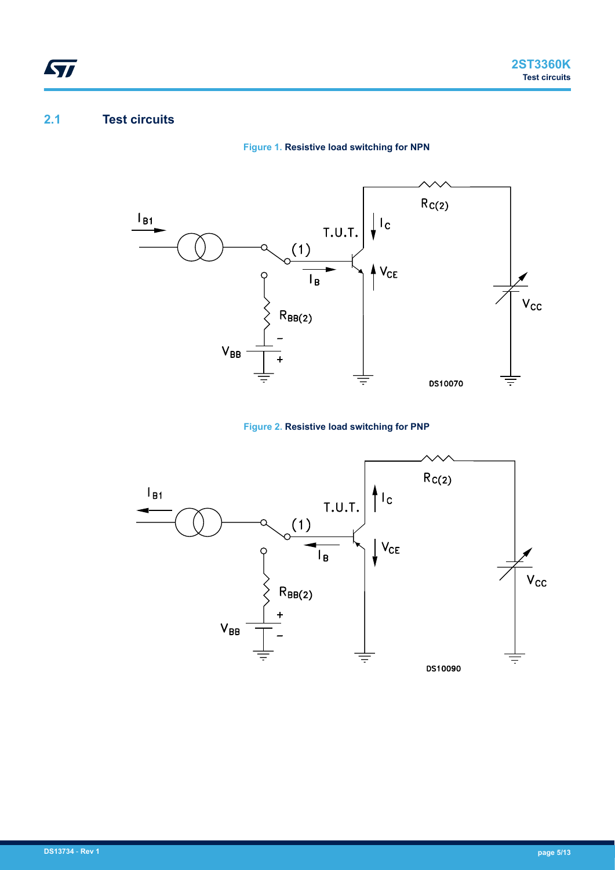## **2.1 Test circuits**

<span id="page-4-0"></span>ST

### **Figure 1. Resistive load switching for NPN**



### **Figure 2. Resistive load switching for PNP**

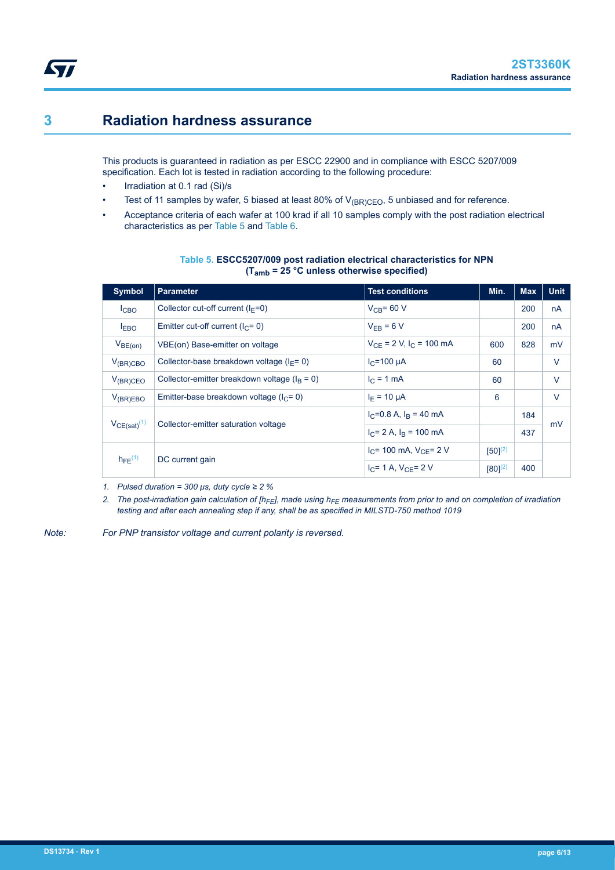## <span id="page-5-0"></span>**3 Radiation hardness assurance**

This products is guaranteed in radiation as per ESCC 22900 and in compliance with ESCC 5207/009 specification. Each lot is tested in radiation according to the following procedure:

- Irradiation at 0.1 rad (Si)/s
- Test of 11 samples by wafer, 5 biased at least 80% of  $V_{\text{BR}NCEO}$ , 5 unbiased and for reference.
- Acceptance criteria of each wafer at 100 krad if all 10 samples comply with the post radiation electrical characteristics as per Table 5 and [Table 6](#page-6-0).

| <b>Symbol</b>           | <b>Parameter</b>                                  | <b>Test conditions</b>         | Min.         | <b>Max</b> | <b>Unit</b> |
|-------------------------|---------------------------------------------------|--------------------------------|--------------|------------|-------------|
| I <sub>CBO</sub>        | Collector cut-off current $(I_F=0)$               | $V_{CR}$ = 60 V                |              | 200        | nA          |
| $I_{EBO}$               | Emitter cut-off current ( $lC = 0$ )              | $V_{FR}$ = 6 V                 |              | 200        | nA          |
| $V_{BE(on)}$            | VBE(on) Base-emitter on voltage                   | $V_{CE}$ = 2 V, $I_C$ = 100 mA | 600          | 828        | mV          |
| $V_{(BR)CBO}$           | Collector-base breakdown voltage ( $I_F$ = 0)     | $I_C = 100 \mu A$              | 60           |            | $\vee$      |
| $V_{(BR)CEO}$           | Collector-emitter breakdown voltage ( $I_B = 0$ ) | $I_C = 1$ mA                   | 60           |            | $\vee$      |
| $V_{(BR)EBO}$           | Emitter-base breakdown voltage ( $IC = 0$ )       | $I_F = 10 \mu A$               | 6            |            | $\vee$      |
|                         |                                                   | $I_C = 0.8$ A, $I_B = 40$ mA   |              | 184        |             |
| $V_{CE(sat)}^{(1)}$     | Collector-emitter saturation voltage              | $I_C = 2$ A, $I_R = 100$ mA    |              | 437        | mV          |
| $h_{FE}$ <sup>(1)</sup> |                                                   | $I_C$ = 100 mA, $V_{C}$ = 2 V  | $[50]^{(2)}$ |            |             |
|                         | DC current gain                                   | $I_C = 1$ A, $V_{C} = 2$ V     | $[80]^{(2)}$ | 400        |             |

#### **Table 5. ESCC5207/009 post radiation electrical characteristics for NPN (Tamb = 25 °C unless otherwise specified)**

*1. Pulsed duration = 300 μs, duty cycle ≥ 2 %*

*2. The post-irradiation gain calculation of [hFE], made using hFE measurements from prior to and on completion of irradiation testing and after each annealing step if any, shall be as specified in MILSTD-750 method 1019*

*Note: For PNP transistor voltage and current polarity is reversed.*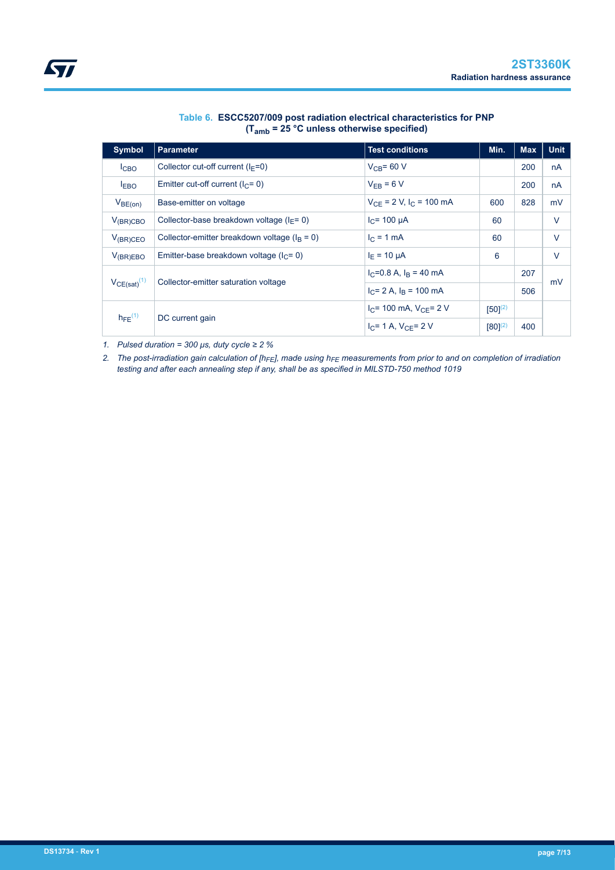<span id="page-6-0"></span>

| <b>Symbol</b>           | <b>Parameter</b>                                  | <b>Test conditions</b>         | Min.         | <b>Max</b> | <b>Unit</b> |
|-------------------------|---------------------------------------------------|--------------------------------|--------------|------------|-------------|
| I <sub>CBO</sub>        | Collector cut-off current $(I_F=0)$               | $V_{CR}$ = 60 V                |              | 200        | nA          |
| I <sub>EBO</sub>        | Emitter cut-off current ( $I_{C}$ = 0)            | $V_{FR}$ = 6 V                 |              | 200        | nA          |
| $V_{BE(0n)}$            | Base-emitter on voltage                           | $V_{CE}$ = 2 V, $I_C$ = 100 mA | 600          | 828        | mV          |
| $V_{(BR)CBO}$           | Collector-base breakdown voltage ( $I_F$ = 0)     | $I_C$ = 100 µA                 | 60           |            | $\vee$      |
| $V_{(BR)CEO}$           | Collector-emitter breakdown voltage ( $I_B = 0$ ) | $I_C = 1$ mA                   | 60           |            | $\vee$      |
| $V_{(BR)EBO}$           | Emitter-base breakdown voltage ( $IC = 0$ )       | $I_F = 10 \mu A$               | 6            |            | $\vee$      |
|                         |                                                   | $I_C = 0.8$ A, $I_B = 40$ mA   |              | 207        |             |
| $VCE(sat)^{(1)}$        | Collector-emitter saturation voltage              | $I_C = 2$ A, $I_R = 100$ mA    |              | 506        | mV          |
|                         |                                                   | $I_C$ = 100 mA, $V_{C}$ = 2 V  | $[50]^{(2)}$ |            |             |
| $h_{FE}$ <sup>(1)</sup> | DC current gain                                   | $I_C = 1$ A, $V_{C} = 2$ V     | $[80]^{(2)}$ | 400        |             |

#### **Table 6. ESCC5207/009 post radiation electrical characteristics for PNP (Tamb = 25 °C unless otherwise specified)**

*1. Pulsed duration = 300 μs, duty cycle ≥ 2 %*

*2. The post-irradiation gain calculation of [hFE], made using hFE measurements from prior to and on completion of irradiation testing and after each annealing step if any, shall be as specified in MILSTD-750 method 1019*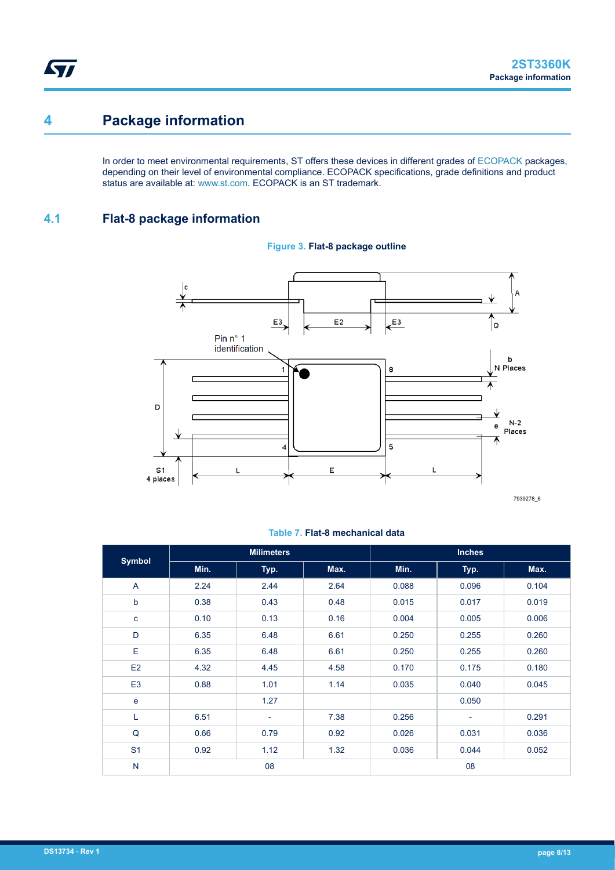# **4 Package information**

<span id="page-7-0"></span>ST

In order to meet environmental requirements, ST offers these devices in different grades of [ECOPACK](https://www.st.com/ecopack) packages, depending on their level of environmental compliance. ECOPACK specifications, grade definitions and product status are available at: [www.st.com.](http://www.st.com) ECOPACK is an ST trademark.

## **4.1 Flat-8 package information**



## **Figure 3. Flat-8 package outline**

#### **Table 7. Flat-8 mechanical data**

|                |      | <b>Milimeters</b>        |      |       | <b>Inches</b>            |       |  |
|----------------|------|--------------------------|------|-------|--------------------------|-------|--|
| <b>Symbol</b>  | Min. | Typ.                     | Max. | Min.  | Typ.                     | Max.  |  |
| A              | 2.24 | 2.44                     | 2.64 | 0.088 | 0.096                    | 0.104 |  |
| þ              | 0.38 | 0.43                     | 0.48 | 0.015 | 0.017                    | 0.019 |  |
| c              | 0.10 | 0.13                     | 0.16 | 0.004 | 0.005                    | 0.006 |  |
| D              | 6.35 | 6.48                     | 6.61 | 0.250 | 0.255                    | 0.260 |  |
| E              | 6.35 | 6.48                     | 6.61 | 0.250 | 0.255                    | 0.260 |  |
| E <sub>2</sub> | 4.32 | 4.45                     | 4.58 | 0.170 | 0.175                    | 0.180 |  |
| E <sub>3</sub> | 0.88 | 1.01                     | 1.14 | 0.035 | 0.040                    | 0.045 |  |
| $\mathbf e$    |      | 1.27                     |      |       | 0.050                    |       |  |
| Г              | 6.51 | $\overline{\phantom{a}}$ | 7.38 | 0.256 | $\overline{\phantom{a}}$ | 0.291 |  |
| Q              | 0.66 | 0.79                     | 0.92 | 0.026 | 0.031                    | 0.036 |  |
| S <sub>1</sub> | 0.92 | 1.12                     | 1.32 | 0.036 | 0.044                    | 0.052 |  |
| $\mathsf{N}$   |      | 08                       |      |       | 08                       |       |  |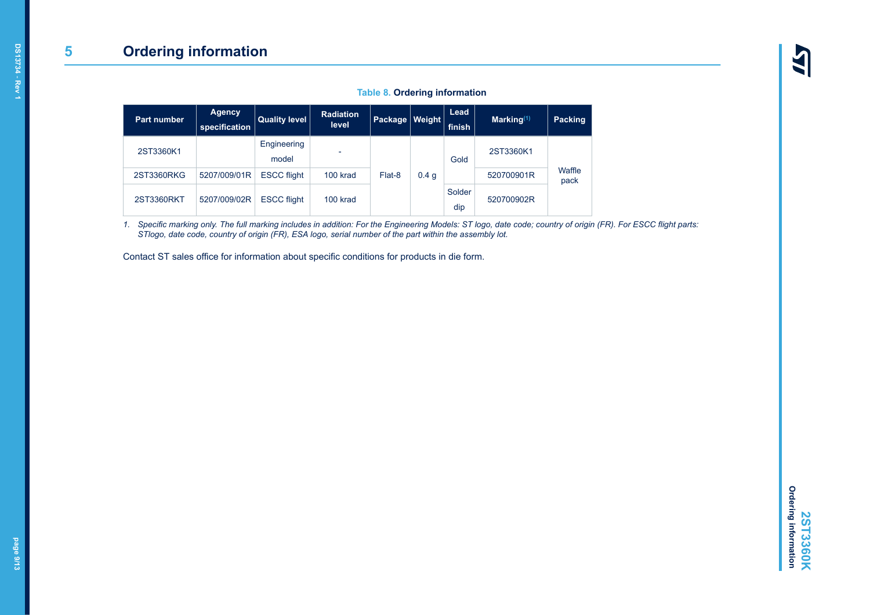### **Table 8. Ordering information**

<span id="page-8-0"></span>

| <b>Part number</b> | <b>Agency</b><br>specification | <b>Quality level</b> | <b>Radiation</b><br>level | Package   Weight |                  | Lead<br>finish | $Marking(1)$ | Packing        |            |  |
|--------------------|--------------------------------|----------------------|---------------------------|------------------|------------------|----------------|--------------|----------------|------------|--|
| 2ST3360K1          |                                | Engineering<br>model | ٠                         |                  |                  | Gold           | 2ST3360K1    |                |            |  |
| 2ST3360RKG         | 5207/009/01R                   | <b>ESCC flight</b>   | 100 krad                  | Flat-8           | 0.4 <sub>q</sub> |                | 520700901R   | Waffle<br>pack |            |  |
| 2ST3360RKT         | 5207/009/02R                   | <b>ESCC flight</b>   | 100 krad                  |                  |                  |                |              | Solder<br>dip  | 520700902R |  |

*1. Specific marking only. The full marking includes in addition: For the Engineering Models: ST logo, date code; country of origin (FR). For ESCC flight parts: STlogo, date code, country of origin (FR), ESA logo, serial number of the part within the assembly lot.*

Contact ST sales office for information about specific conditions for products in die form.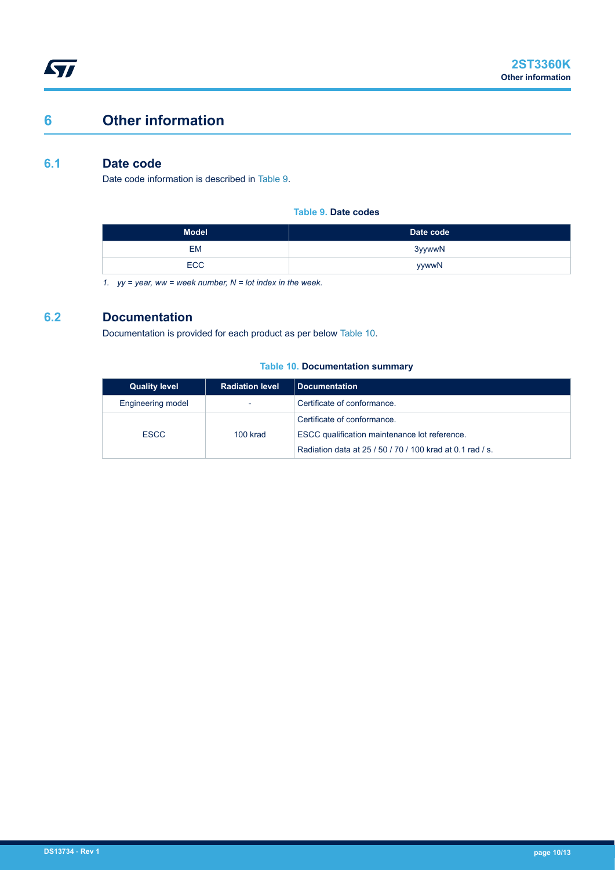# <span id="page-9-0"></span>**6 Other information**

## **6.1 Date code**

Date code information is described in Table 9.

**Table 9. Date codes**

| <b>Model</b> | Date code |
|--------------|-----------|
| <b>EM</b>    | 3yywwN    |
| <b>ECC</b>   | yywwN     |

*1. yy = year, ww = week number, N = lot index in the week.*

## **6.2 Documentation**

Documentation is provided for each product as per below Table 10.

#### **Table 10. Documentation summary**

| <b>Quality level</b> | <b>Radiation level</b> | Documentation                                             |
|----------------------|------------------------|-----------------------------------------------------------|
| Engineering model    |                        | Certificate of conformance.                               |
| <b>ESCC</b>          | 100 krad               | Certificate of conformance.                               |
|                      |                        | ESCC qualification maintenance lot reference.             |
|                      |                        | Radiation data at 25 / 50 / 70 / 100 krad at 0.1 rad / s. |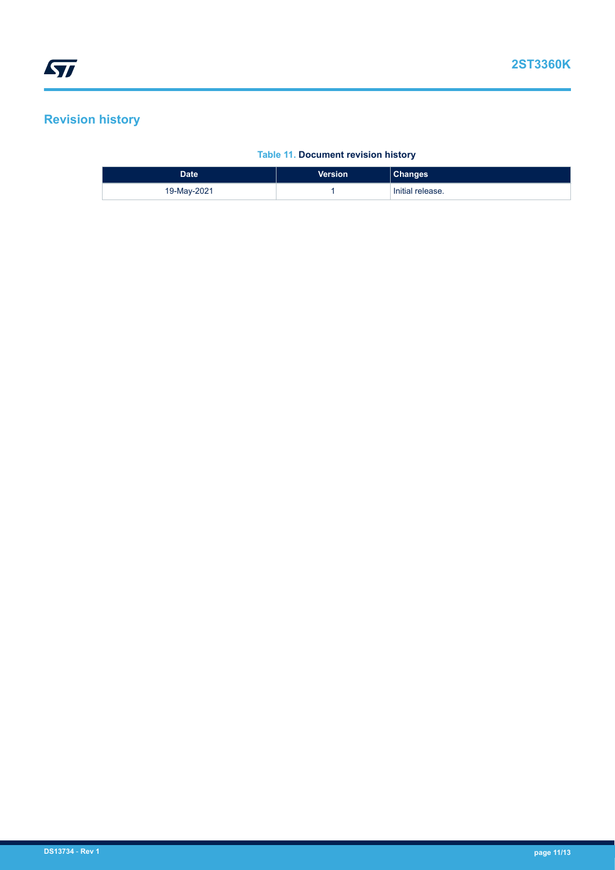# <span id="page-10-0"></span>**Revision history**

## **Table 11. Document revision history**

| <b>Date</b> | <b>Version</b> | <b>Changes</b>   |
|-------------|----------------|------------------|
| 19-May-2021 |                | Initial release. |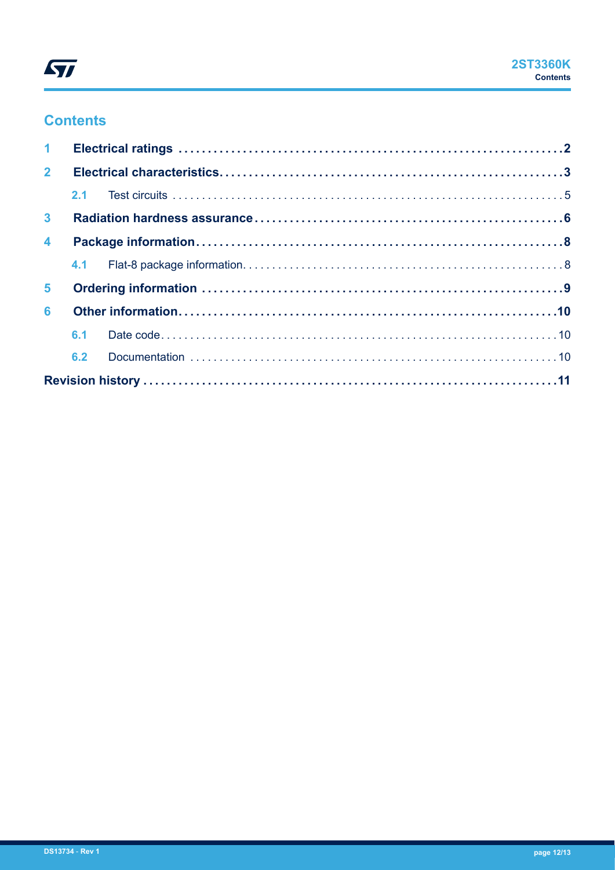

# **Contents**

| 1 <sup>1</sup>          |     |  |  |  |
|-------------------------|-----|--|--|--|
| $2^{\circ}$             |     |  |  |  |
|                         |     |  |  |  |
| 3 <sup>7</sup>          |     |  |  |  |
| $\overline{\mathbf{4}}$ |     |  |  |  |
|                         |     |  |  |  |
| 5 <sup>1</sup>          |     |  |  |  |
| 6                       |     |  |  |  |
|                         | 6.1 |  |  |  |
|                         | 6.2 |  |  |  |
|                         |     |  |  |  |